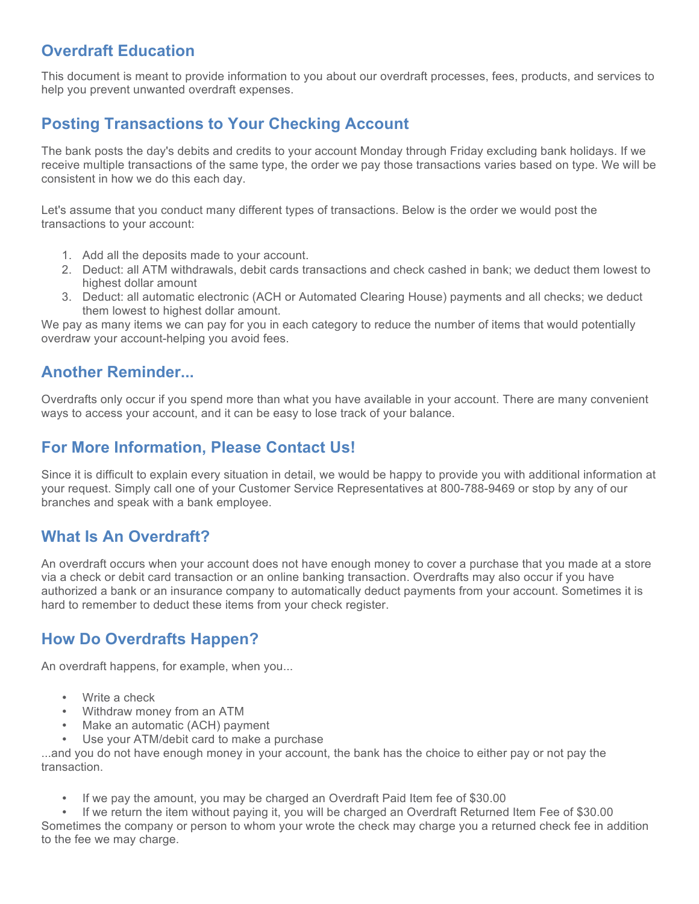## **Overdraft Education**

This document is meant to provide information to you about our overdraft processes, fees, products, and services to help you prevent unwanted overdraft expenses.

# **Posting Transactions to Your Checking Account**

The bank posts the day's debits and credits to your account Monday through Friday excluding bank holidays. If we receive multiple transactions of the same type, the order we pay those transactions varies based on type. We will be consistent in how we do this each day.

Let's assume that you conduct many different types of transactions. Below is the order we would post the transactions to your account:

- 1. Add all the deposits made to your account.
- 2. Deduct: all ATM withdrawals, debit cards transactions and check cashed in bank; we deduct them lowest to highest dollar amount
- 3. Deduct: all automatic electronic (ACH or Automated Clearing House) payments and all checks; we deduct them lowest to highest dollar amount.

We pay as many items we can pay for you in each category to reduce the number of items that would potentially overdraw your account-helping you avoid fees.

## **Another Reminder...**

Overdrafts only occur if you spend more than what you have available in your account. There are many convenient ways to access your account, and it can be easy to lose track of your balance.

### **For More Information, Please Contact Us!**

Since it is difficult to explain every situation in detail, we would be happy to provide you with additional information at your request. Simply call one of your Customer Service Representatives at 800-788-9469 or stop by any of our branches and speak with a bank employee.

#### **What Is An Overdraft?**

An overdraft occurs when your account does not have enough money to cover a purchase that you made at a store via a check or debit card transaction or an online banking transaction. Overdrafts may also occur if you have authorized a bank or an insurance company to automatically deduct payments from your account. Sometimes it is hard to remember to deduct these items from your check register.

## **How Do Overdrafts Happen?**

An overdraft happens, for example, when you...

- Write a check
- Withdraw money from an ATM
- Make an automatic (ACH) payment
- Use your ATM/debit card to make a purchase

...and you do not have enough money in your account, the bank has the choice to either pay or not pay the transaction.

• If we pay the amount, you may be charged an Overdraft Paid Item fee of \$30.00

• If we return the item without paying it, you will be charged an Overdraft Returned Item Fee of \$30.00 Sometimes the company or person to whom your wrote the check may charge you a returned check fee in addition to the fee we may charge.